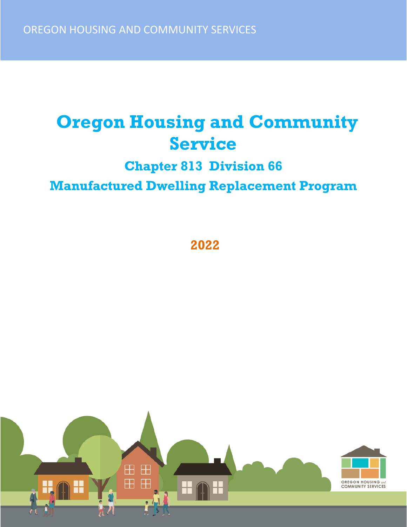# **Oregon Housing and Community Service**

### **Chapter 813 Division 66 Manufactured Dwelling Replacement Program**

**2022**

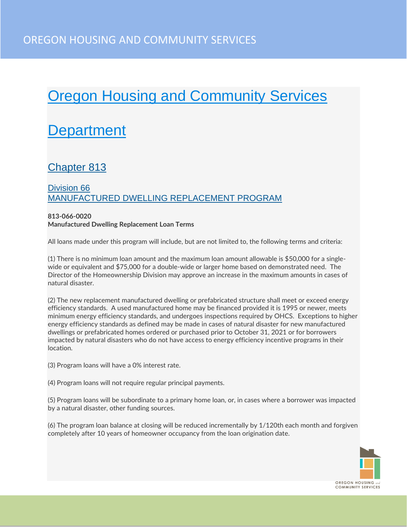## **Oregon Housing and Community Services**

### **[Department](https://secure.sos.state.or.us/oard/displayChapterRules.action;JSESSIONID_OARD=ZJseHu6kZvM7czKAnozZfluB7y2qfXmXp1-cJrxe3Dk-6uRGK0oD!601336136?selectedChapter=144)**

#### [Chapter 813](https://secure.sos.state.or.us/oard/displayChapterRules.action;JSESSIONID_OARD=ZJseHu6kZvM7czKAnozZfluB7y2qfXmXp1-cJrxe3Dk-6uRGK0oD!601336136?selectedChapter=144)

#### [Division 66](https://secure.sos.state.or.us/oard/displayDivisionRules.action;JSESSIONID_OARD=ZJseHu6kZvM7czKAnozZfluB7y2qfXmXp1-cJrxe3Dk-6uRGK0oD!601336136?selectedDivision=6150) [MANUFACTURED DWELLING REPLACEMENT PROGRAM](https://secure.sos.state.or.us/oard/displayDivisionRules.action;JSESSIONID_OARD=ZJseHu6kZvM7czKAnozZfluB7y2qfXmXp1-cJrxe3Dk-6uRGK0oD!601336136?selectedDivision=6150)

#### **813-066-0020 Manufactured Dwelling Replacement Loan Terms**

All loans made under this program will include, but are not limited to, the following terms and criteria:

(1) There is no minimum loan amount and the maximum loan amount allowable is \$50,000 for a singlewide or equivalent and \$75,000 for a double-wide or larger home based on demonstrated need. The Director of the Homeownership Division may approve an increase in the maximum amounts in cases of natural disaster.

(2) The new replacement manufactured dwelling or prefabricated structure shall meet or exceed energy efficiency standards. A used manufactured home may be financed provided it is 1995 or newer, meets minimum energy efficiency standards, and undergoes inspections required by OHCS. Exceptions to higher energy efficiency standards as defined may be made in cases of natural disaster for new manufactured dwellings or prefabricated homes ordered or purchased prior to October 31, 2021 or for borrowers impacted by natural disasters who do not have access to energy efficiency incentive programs in their location.

(3) Program loans will have a 0% interest rate.

(4) Program loans will not require regular principal payments.

(5) Program loans will be subordinate to a primary home loan, or, in cases where a borrower was impacted by a natural disaster, other funding sources.

(6) The program loan balance at closing will be reduced incrementally by 1/120th each month and forgiven completely after 10 years of homeowner occupancy from the loan origination date.